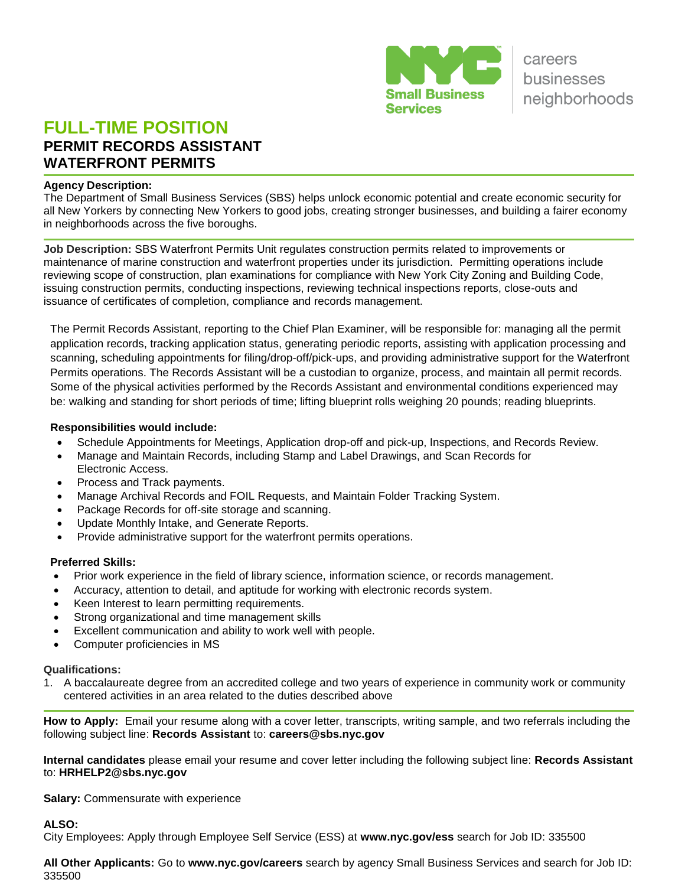

# **FULL-TIME POSITION PERMIT RECORDS ASSISTANT WATERFRONT PERMITS**

#### **Agency Description:**

The Department of Small Business Services (SBS) helps unlock economic potential and create economic security for all New Yorkers by connecting New Yorkers to good jobs, creating stronger businesses, and building a fairer economy in neighborhoods across the five boroughs.

**Job Description:** SBS Waterfront Permits Unit regulates construction permits related to improvements or maintenance of marine construction and waterfront properties under its jurisdiction. Permitting operations include reviewing scope of construction, plan examinations for compliance with New York City Zoning and Building Code, issuing construction permits, conducting inspections, reviewing technical inspections reports, close-outs and issuance of certificates of completion, compliance and records management.

The Permit Records Assistant, reporting to the Chief Plan Examiner, will be responsible for: managing all the permit application records, tracking application status, generating periodic reports, assisting with application processing and scanning, scheduling appointments for filing/drop-off/pick-ups, and providing administrative support for the Waterfront Permits operations. The Records Assistant will be a custodian to organize, process, and maintain all permit records. Some of the physical activities performed by the Records Assistant and environmental conditions experienced may be: walking and standing for short periods of time; lifting blueprint rolls weighing 20 pounds; reading blueprints.

### **Responsibilities would include:**

- Schedule Appointments for Meetings, Application drop-off and pick-up, Inspections, and Records Review.
- Manage and Maintain Records, including Stamp and Label Drawings, and Scan Records for Electronic Access.
- Process and Track payments.
- Manage Archival Records and FOIL Requests, and Maintain Folder Tracking System.
- Package Records for off-site storage and scanning.
- Update Monthly Intake, and Generate Reports.
- Provide administrative support for the waterfront permits operations.

## **Preferred Skills:**

- Prior work experience in the field of library science, information science, or records management.
- Accuracy, attention to detail, and aptitude for working with electronic records system.
- Keen Interest to learn permitting requirements.
- Strong organizational and time management skills
- Excellent communication and ability to work well with people.
- Computer proficiencies in MS

#### **Qualifications:**

1. A baccalaureate degree from an accredited college and two years of experience in community work or community centered activities in an area related to the duties described above

**How to Apply:** Email your resume along with a cover letter, transcripts, writing sample, and two referrals including the following subject line: **Records Assistant** to: **[careers@sbs.nyc.gov](mailto:careers@sbs.nyc.gov)**

**Internal candidates** please email your resume and cover letter including the following subject line: **Records Assistant** to: **HRHELP2@sbs.nyc.gov**

**Salary:** Commensurate with experience

**ALSO:** 

City Employees: Apply through Employee Self Service (ESS) at **[www.nyc.gov/ess](http://www.nyc.gov/ess)** search for Job ID: 335500

**All Other Applicants:** Go to **[www.nyc.gov/careers](http://www.nyc.gov/careers)** search by agency Small Business Services and search for Job ID: 335500